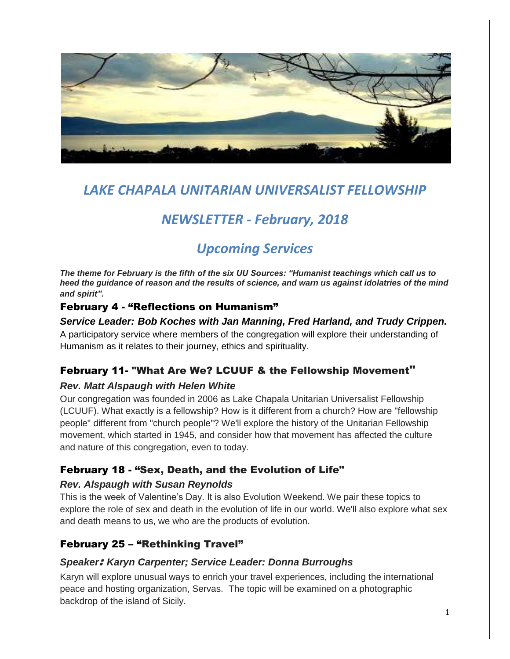

## *LAKE CHAPALA UNITARIAN UNIVERSALIST FELLOWSHIP*

# *NEWSLETTER - February, 2018*

# *Upcoming Services*

*The theme for February is the fifth of the six UU Sources: "Humanist teachings which call us to heed the guidance of reason and the results of science, and warn us against idolatries of the mind and spirit".*

### February 4 - "Reflections on Humanism"

#### *Service Leader: Bob Koches with Jan Manning, Fred Harland, and Trudy Crippen.*

A participatory service where members of the congregation will explore their understanding of Humanism as it relates to their journey, ethics and spirituality.

### February 11- "What Are We? LCUUF & the Fellowship Movement"

#### *Rev. Matt Alspaugh with Helen White*

Our congregation was founded in 2006 as Lake Chapala Unitarian Universalist Fellowship (LCUUF). What exactly is a fellowship? How is it different from a church? How are "fellowship people" different from "church people"? We'll explore the history of the Unitarian Fellowship movement, which started in 1945, and consider how that movement has affected the culture and nature of this congregation, even to today.

## February 18 - "Sex, Death, and the Evolution of Life"

#### *Rev. Alspaugh with Susan Reynolds*

This is the week of Valentine's Day. It is also Evolution Weekend. We pair these topics to explore the role of sex and death in the evolution of life in our world. We'll also explore what sex and death means to us, we who are the products of evolution.

## February 25 – "Rethinking Travel"

#### *Speaker*: *Karyn Carpenter; Service Leader: Donna Burroughs*

Karyn will explore unusual ways to enrich your travel experiences, including the international peace and hosting organization, Servas. The topic will be examined on a photographic backdrop of the island of Sicily.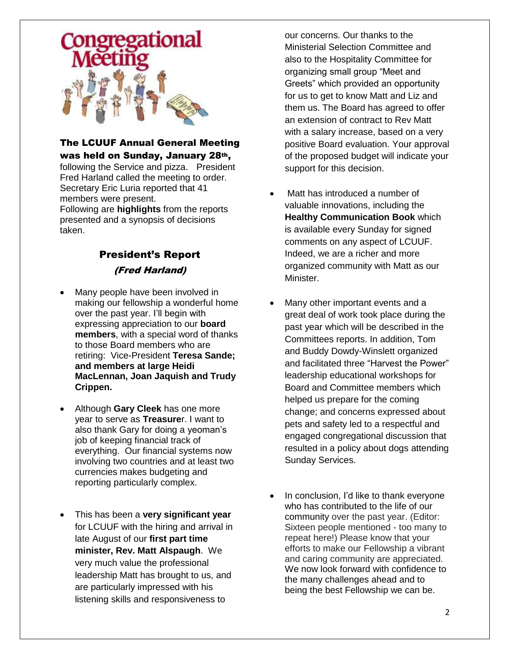

#### The LCUUF Annual General Meeting was held on Sunday, January 28th,

following the Service and pizza. President Fred Harland called the meeting to order. Secretary Eric Luria reported that 41 members were present. Following are **highlights** from the reports presented and a synopsis of decisions taken.

## President's Report (Fred Harland)

- Many people have been involved in making our fellowship a wonderful home over the past year. I'll begin with expressing appreciation to our **board members**, with a special word of thanks to those Board members who are retiring: Vice-President **Teresa Sande; and members at large Heidi MacLennan, Joan Jaquish and Trudy Crippen.**
- Although **Gary Cleek** has one more year to serve as **Treasure**r. I want to also thank Gary for doing a yeoman's job of keeping financial track of everything. Our financial systems now involving two countries and at least two currencies makes budgeting and reporting particularly complex.
- This has been a **very significant year** for LCUUF with the hiring and arrival in late August of our **first part time minister, Rev. Matt Alspaugh**. We very much value the professional leadership Matt has brought to us, and are particularly impressed with his listening skills and responsiveness to

our concerns. Our thanks to the Ministerial Selection Committee and also to the Hospitality Committee for organizing small group "Meet and Greets" which provided an opportunity for us to get to know Matt and Liz and them us. The Board has agreed to offer an extension of contract to Rev Matt with a salary increase, based on a very positive Board evaluation. Your approval of the proposed budget will indicate your support for this decision.

- Matt has introduced a number of valuable innovations, including the **Healthy Communication Book** which is available every Sunday for signed comments on any aspect of LCUUF. Indeed, we are a richer and more organized community with Matt as our Minister.
- Many other important events and a great deal of work took place during the past year which will be described in the Committees reports. In addition, Tom and Buddy Dowdy-Winslett organized and facilitated three "Harvest the Power" leadership educational workshops for Board and Committee members which helped us prepare for the coming change; and concerns expressed about pets and safety led to a respectful and engaged congregational discussion that resulted in a policy about dogs attending Sunday Services.
- In conclusion, I'd like to thank everyone who has contributed to the life of our community over the past year. (Editor: Sixteen people mentioned - too many to repeat here!) Please know that your efforts to make our Fellowship a vibrant and caring community are appreciated. We now look forward with confidence to the many challenges ahead and to being the best Fellowship we can be.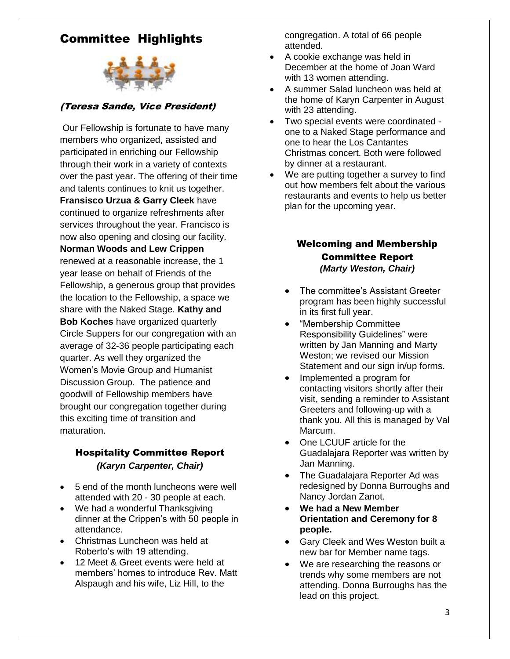## Committee Highlights



#### (Teresa Sande, Vice President)

Our Fellowship is fortunate to have many members who organized, assisted and participated in enriching our Fellowship through their work in a variety of contexts over the past year. The offering of their time and talents continues to knit us together. **Fransisco Urzua & Garry Cleek** have continued to organize refreshments after services throughout the year. Francisco is now also opening and closing our facility. **Norman Woods and Lew Crippen**  renewed at a reasonable increase, the 1 year lease on behalf of Friends of the Fellowship, a generous group that provides the location to the Fellowship, a space we share with the Naked Stage. **Kathy and Bob Koches** have organized quarterly Circle Suppers for our congregation with an average of 32-36 people participating each quarter. As well they organized the Women's Movie Group and Humanist Discussion Group. The patience and goodwill of Fellowship members have brought our congregation together during this exciting time of transition and maturation.

#### Hospitality Committee Report *(Karyn Carpenter, Chair)*

- 5 end of the month luncheons were well attended with 20 - 30 people at each.
- We had a wonderful Thanksgiving dinner at the Crippen's with 50 people in attendance.
- Christmas Luncheon was held at Roberto's with 19 attending.
- 12 Meet & Greet events were held at members' homes to introduce Rev. Matt Alspaugh and his wife, Liz Hill, to the

congregation. A total of 66 people attended.

- A cookie exchange was held in December at the home of Joan Ward with 13 women attending.
- A summer Salad luncheon was held at the home of Karyn Carpenter in August with 23 attending.
- Two special events were coordinated one to a Naked Stage performance and one to hear the Los Cantantes Christmas concert. Both were followed by dinner at a restaurant.
- We are putting together a survey to find out how members felt about the various restaurants and events to help us better plan for the upcoming year.

#### Welcoming and Membership Committee Report *(Marty Weston, Chair)*

- The committee's Assistant Greeter program has been highly successful in its first full year.
- "Membership Committee Responsibility Guidelines" were written by Jan Manning and Marty Weston; we revised our Mission Statement and our sign in/up forms.
- Implemented a program for contacting visitors shortly after their visit, sending a reminder to Assistant Greeters and following-up with a thank you. All this is managed by Val Marcum.
- One LCUUF article for the Guadalajara Reporter was written by Jan Manning.
- The Guadalajara Reporter Ad was redesigned by Donna Burroughs and Nancy Jordan Zanot.
- **We had a New Member Orientation and Ceremony for 8 people.**
- Gary Cleek and Wes Weston built a new bar for Member name tags.
- We are researching the reasons or trends why some members are not attending. Donna Burroughs has the lead on this project.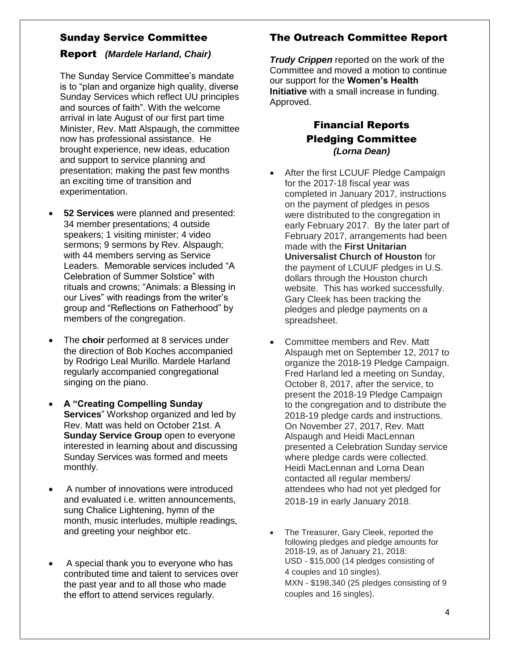#### Sunday Service Committee

#### Report *(Mardele Harland, Chair)*

The Sunday Service Committee's mandate is to "plan and organize high quality, diverse Sunday Services which reflect UU principles and sources of faith". With the welcome arrival in late August of our first part time Minister, Rev. Matt Alspaugh, the committee now has professional assistance. He brought experience, new ideas, education and support to service planning and presentation; making the past few months an exciting time of transition and experimentation.

- **52 Services** were planned and presented: 34 member presentations; 4 outside speakers; 1 visiting minister; 4 video sermons; 9 sermons by Rev. Alspaugh; with 44 members serving as Service Leaders. Memorable services included "A Celebration of Summer Solstice" with rituals and crowns; "Animals: a Blessing in our Lives" with readings from the writer's group and "Reflections on Fatherhood" by members of the congregation.
- The **choir** performed at 8 services under the direction of Bob Koches accompanied by Rodrigo Leal Murillo. Mardele Harland regularly accompanied congregational singing on the piano.
- **A "Creating Compelling Sunday Services**" Workshop organized and led by Rev. Matt was held on October 21st. A **Sunday Service Group** open to everyone interested in learning about and discussing Sunday Services was formed and meets monthly.
- A number of innovations were introduced and evaluated i.e. written announcements, sung Chalice Lightening, hymn of the month, music interludes, multiple readings, and greeting your neighbor etc.
- A special thank you to everyone who has contributed time and talent to services over the past year and to all those who made the effort to attend services regularly.

## The Outreach Committee Report

*Trudy Crippen* reported on the work of the Committee and moved a motion to continue our support for the **Women's Health Initiative** with a small increase in funding. Approved.

## Financial Reports Pledging Committee *(Lorna Dean)*

- After the first LCUUF Pledge Campaign for the 2017-18 fiscal year was completed in January 2017, instructions on the payment of pledges in pesos were distributed to the congregation in early February 2017. By the later part of February 2017, arrangements had been made with the **First Unitarian Universalist Church of Houston** for the payment of LCUUF pledges in U.S. dollars through the Houston church website. This has worked successfully. Gary Cleek has been tracking the pledges and pledge payments on a spreadsheet.
- Committee members and Rev. Matt Alspaugh met on September 12, 2017 to organize the 2018-19 Pledge Campaign. Fred Harland led a meeting on Sunday, October 8, 2017, after the service, to present the 2018-19 Pledge Campaign to the congregation and to distribute the 2018-19 pledge cards and instructions. On November 27, 2017, Rev. Matt Alspaugh and Heidi MacLennan presented a Celebration Sunday service where pledge cards were collected. Heidi MacLennan and Lorna Dean contacted all regular members/ attendees who had not yet pledged for 2018-19 in early January 2018.
- The Treasurer, Gary Cleek, reported the following pledges and pledge amounts for 2018-19, as of January 21, 2018: USD - \$15,000 (14 pledges consisting of 4 couples and 10 singles). MXN - \$198,340 (25 pledges consisting of 9 couples and 16 singles).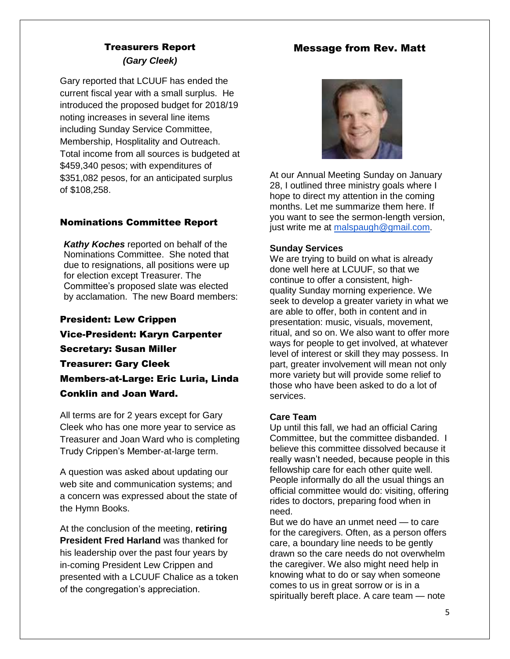#### Message from Rev. Matt

## Treasurers Report *(Gary Cleek)*

Gary reported that LCUUF has ended the current fiscal year with a small surplus. He introduced the proposed budget for 2018/19 noting increases in several line items including Sunday Service Committee, Membership, Hosplitality and Outreach. Total income from all sources is budgeted at \$459,340 pesos; with expenditures of \$351,082 pesos, for an anticipated surplus of \$108,258.

#### Nominations Committee Report

*Kathy Koches* reported on behalf of the Nominations Committee. She noted that due to resignations, all positions were up for election except Treasurer. The Committee's proposed slate was elected by acclamation. The new Board members:

President: Lew Crippen Vice-President: Karyn Carpenter Secretary: Susan Miller Treasurer: Gary Cleek Members-at-Large: Eric Luria, Linda Conklin and Joan Ward.

All terms are for 2 years except for Gary Cleek who has one more year to service as Treasurer and Joan Ward who is completing Trudy Crippen's Member-at-large term.

A question was asked about updating our web site and communication systems; and a concern was expressed about the state of the Hymn Books.

At the conclusion of the meeting, **retiring President Fred Harland** was thanked for his leadership over the past four years by in-coming President Lew Crippen and presented with a LCUUF Chalice as a token of the congregation's appreciation.



At our Annual Meeting Sunday on January 28, I outlined three ministry goals where I hope to direct my attention in the coming months. Let me summarize them here. If you want to see the sermon-length version, just write me at [malspaugh@gmail.com.](mailto:malspaugh@gmail.com)

#### **Sunday Services**

We are trying to build on what is already done well here at LCUUF, so that we continue to offer a consistent, highquality Sunday morning experience. We seek to develop a greater variety in what we are able to offer, both in content and in presentation: music, visuals, movement, ritual, and so on. We also want to offer more ways for people to get involved, at whatever level of interest or skill they may possess. In part, greater involvement will mean not only more variety but will provide some relief to those who have been asked to do a lot of services.

#### **Care Team**

Up until this fall, we had an official Caring Committee, but the committee disbanded. I believe this committee dissolved because it really wasn't needed, because people in this fellowship care for each other quite well. People informally do all the usual things an official committee would do: visiting, offering rides to doctors, preparing food when in need.

But we do have an unmet need — to care for the caregivers. Often, as a person offers care, a boundary line needs to be gently drawn so the care needs do not overwhelm the caregiver. We also might need help in knowing what to do or say when someone comes to us in great sorrow or is in a spiritually bereft place. A care team — note